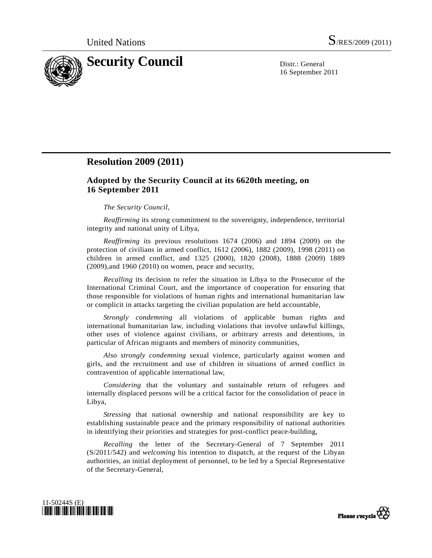

16 September 2011

# **Resolution 2009 (2011)**

## **Adopted by the Security Council at its 6620th meeting, on 16 September 2011**

### *The Security Council*,

*Reaffirming* its strong commitment to the sovereignty, independence, territorial integrity and national unity of Libya,

*Reaffirming* its previous resolutions 1674 (2006) and 1894 (2009) on the protection of civilians in armed conflict, 1612 (2006), 1882 (2009), 1998 (2011) on children in armed conflict, and 1325 (2000), 1820 (2008), 1888 (2009) 1889 (2009),and 1960 (2010) on women, peace and security,

*Recalling* its decision to refer the situation in Libya to the Prosecutor of the International Criminal Court, and the importance of cooperation for ensuring that those responsible for violations of human rights and international humanitarian law or complicit in attacks targeting the civilian population are held accountable,

*Strongly condemning* all violations of applicable human rights and international humanitarian law, including violations that involve unlawful killings, other uses of violence against civilians, or arbitrary arrests and detentions, in particular of African migrants and members of minority communities,

*Also strongly condemning* sexual violence, particularly against women and girls, and the recruitment and use of children in situations of armed conflict in contravention of applicable international law,

*Considering* that the voluntary and sustainable return of refugees and internally displaced persons will be a critical factor for the consolidation of peace in Libya,

*Stressing* that national ownership and national responsibility are key to establishing sustainable peace and the primary responsibility of national authorities in identifying their priorities and strategies for post-conflict peace-building,

*Recalling* the letter of the Secretary-General of 7 September 2011 (S/2011/542) and *welcoming* his intention to dispatch, at the request of the Libyan authorities, an initial deployment of personnel, to be led by a Special Representative of the Secretary-General,



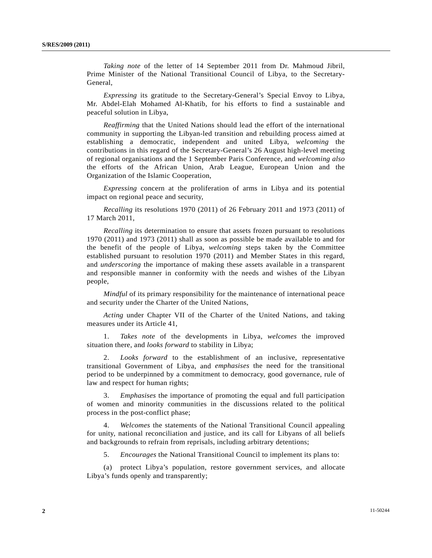*Taking note* of the letter of 14 September 2011 from Dr. Mahmoud Jibril, Prime Minister of the National Transitional Council of Libya, to the Secretary-General,

*Expressing* its gratitude to the Secretary-General's Special Envoy to Libya, Mr. Abdel-Elah Mohamed Al-Khatib, for his efforts to find a sustainable and peaceful solution in Libya,

*Reaffirming* that the United Nations should lead the effort of the international community in supporting the Libyan-led transition and rebuilding process aimed at establishing a democratic, independent and united Libya, *welcoming* the contributions in this regard of the Secretary-General's 26 August high-level meeting of regional organisations and the 1 September Paris Conference, and *welcoming also* the efforts of the African Union, Arab League, European Union and the Organization of the Islamic Cooperation,

*Expressing* concern at the proliferation of arms in Libya and its potential impact on regional peace and security,

*Recalling* its resolutions 1970 (2011) of 26 February 2011 and 1973 (2011) of 17 March 2011,

*Recalling* its determination to ensure that assets frozen pursuant to resolutions 1970 (2011) and 1973 (2011) shall as soon as possible be made available to and for the benefit of the people of Libya, *welcoming* steps taken by the Committee established pursuant to resolution 1970 (2011) and Member States in this regard, and *underscoring* the importance of making these assets available in a transparent and responsible manner in conformity with the needs and wishes of the Libyan people,

*Mindful* of its primary responsibility for the maintenance of international peace and security under the Charter of the United Nations,

*Acting* under Chapter VII of the Charter of the United Nations, and taking measures under its Article 41,

 1. *Takes note* of the developments in Libya, *welcomes* the improved situation there, and *looks forward* to stability in Libya;

 2. *Looks forward* to the establishment of an inclusive, representative transitional Government of Libya, and *emphasises* the need for the transitional period to be underpinned by a commitment to democracy, good governance, rule of law and respect for human rights;

 3. *Emphasises* the importance of promoting the equal and full participation of women and minority communities in the discussions related to the political process in the post-conflict phase;

 4. *Welcomes* the statements of the National Transitional Council appealing for unity, national reconciliation and justice, and its call for Libyans of all beliefs and backgrounds to refrain from reprisals, including arbitrary detentions;

5. *Encourages* the National Transitional Council to implement its plans to:

 (a) protect Libya's population, restore government services, and allocate Libya's funds openly and transparently;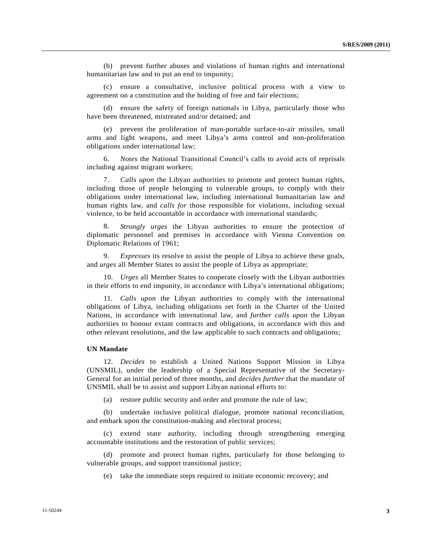(b) prevent further abuses and violations of human rights and international humanitarian law and to put an end to impunity;

 (c) ensure a consultative, inclusive political process with a view to agreement on a constitution and the holding of free and fair elections;

 (d) ensure the safety of foreign nationals in Libya, particularly those who have been threatened, mistreated and/or detained; and

 (e) prevent the proliferation of man-portable surface-to-air missiles, small arms and light weapons, and meet Libya's arms control and non-proliferation obligations under international law;

 6. *Notes* the National Transitional Council's calls to avoid acts of reprisals including against migrant workers;

 7. *Calls upon* the Libyan authorities to promote and protect human rights, including those of people belonging to vulnerable groups, to comply with their obligations under international law, including international humanitarian law and human rights law, and *calls for* those responsible for violations, including sexual violence, to be held accountable in accordance with international standards;

 8. *Strongly urges* the Libyan authorities to ensure the protection of diplomatic personnel and premises in accordance with Vienna Convention on Diplomatic Relations of 1961;

 9. *Expresses* its resolve to assist the people of Libya to achieve these goals, and *urges* all Member States to assist the people of Libya as appropriate;

 10. *Urges* all Member States to cooperate closely with the Libyan authorities in their efforts to end impunity, in accordance with Libya's international obligations;

 11. *Calls upon* the Libyan authorities to comply with the international obligations of Libya, including obligations set forth in the Charter of the United Nations, in accordance with international law, and *further calls upon* the Libyan authorities to honour extant contracts and obligations, in accordance with this and other relevant resolutions, and the law applicable to such contracts and obligations;

## **UN Mandate**

 12. *Decides* to establish a United Nations Support Mission in Libya (UNSMIL), under the leadership of a Special Representative of the Secretary-General for an initial period of three months, and *decides further* that the mandate of UNSMIL shall be to assist and support Libyan national efforts to:

(a) restore public security and order and promote the rule of law;

 (b) undertake inclusive political dialogue, promote national reconciliation, and embark upon the constitution-making and electoral process;

 (c) extend state authority, including through strengthening emerging accountable institutions and the restoration of public services;

 (d) promote and protect human rights, particularly for those belonging to vulnerable groups, and support transitional justice;

(e) take the immediate steps required to initiate economic recovery; and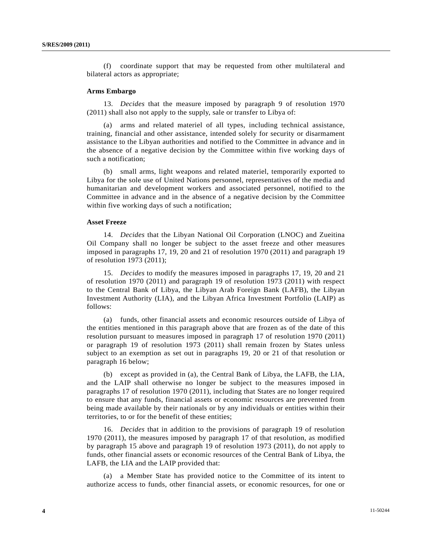(f) coordinate support that may be requested from other multilateral and bilateral actors as appropriate;

#### **Arms Embargo**

 13. *Decides* that the measure imposed by paragraph 9 of resolution 1970 (2011) shall also not apply to the supply, sale or transfer to Libya of:

 (a) arms and related materiel of all types, including technical assistance, training, financial and other assistance, intended solely for security or disarmament assistance to the Libyan authorities and notified to the Committee in advance and in the absence of a negative decision by the Committee within five working days of such a notification;

 (b) small arms, light weapons and related materiel, temporarily exported to Libya for the sole use of United Nations personnel, representatives of the media and humanitarian and development workers and associated personnel, notified to the Committee in advance and in the absence of a negative decision by the Committee within five working days of such a notification;

#### **Asset Freeze**

 14. *Decides* that the Libyan National Oil Corporation (LNOC) and Zueitina Oil Company shall no longer be subject to the asset freeze and other measures imposed in paragraphs 17, 19, 20 and 21 of resolution 1970 (2011) and paragraph 19 of resolution 1973 (2011);

 15. *Decides* to modify the measures imposed in paragraphs 17, 19, 20 and 21 of resolution 1970 (2011) and paragraph 19 of resolution 1973 (2011) with respect to the Central Bank of Libya, the Libyan Arab Foreign Bank (LAFB), the Libyan Investment Authority (LIA), and the Libyan Africa Investment Portfolio (LAIP) as follows:

 (a) funds, other financial assets and economic resources outside of Libya of the entities mentioned in this paragraph above that are frozen as of the date of this resolution pursuant to measures imposed in paragraph 17 of resolution 1970 (2011) or paragraph 19 of resolution 1973 (2011) shall remain frozen by States unless subject to an exemption as set out in paragraphs 19, 20 or 21 of that resolution or paragraph 16 below;

 (b) except as provided in (a), the Central Bank of Libya, the LAFB, the LIA, and the LAIP shall otherwise no longer be subject to the measures imposed in paragraphs 17 of resolution 1970 (2011), including that States are no longer required to ensure that any funds, financial assets or economic resources are prevented from being made available by their nationals or by any individuals or entities within their territories, to or for the benefit of these entities;

 16. *Decides* that in addition to the provisions of paragraph 19 of resolution 1970 (2011), the measures imposed by paragraph 17 of that resolution, as modified by paragraph 15 above and paragraph 19 of resolution 1973 (2011), do not apply to funds, other financial assets or economic resources of the Central Bank of Libya, the LAFB, the LIA and the LAIP provided that:

 (a) a Member State has provided notice to the Committee of its intent to authorize access to funds, other financial assets, or economic resources, for one or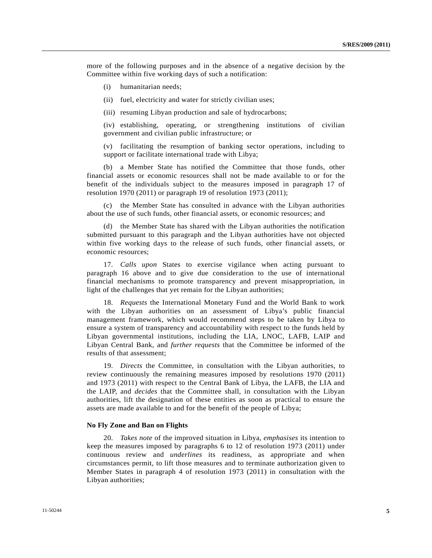more of the following purposes and in the absence of a negative decision by the Committee within five working days of such a notification:

- (i) humanitarian needs;
- (ii) fuel, electricity and water for strictly civilian uses;
- (iii) resuming Libyan production and sale of hydrocarbons;

 (iv) establishing, operating, or strengthening institutions of civilian government and civilian public infrastructure; or

 (v) facilitating the resumption of banking sector operations, including to support or facilitate international trade with Libya;

 (b) a Member State has notified the Committee that those funds, other financial assets or economic resources shall not be made available to or for the benefit of the individuals subject to the measures imposed in paragraph 17 of resolution 1970 (2011) or paragraph 19 of resolution 1973 (2011);

 (c) the Member State has consulted in advance with the Libyan authorities about the use of such funds, other financial assets, or economic resources; and

 (d) the Member State has shared with the Libyan authorities the notification submitted pursuant to this paragraph and the Libyan authorities have not objected within five working days to the release of such funds, other financial assets, or economic resources;

 17. *Calls upon* States to exercise vigilance when acting pursuant to paragraph 16 above and to give due consideration to the use of international financial mechanisms to promote transparency and prevent misappropriation, in light of the challenges that yet remain for the Libyan authorities;

 18. *Requests* the International Monetary Fund and the World Bank to work with the Libyan authorities on an assessment of Libya's public financial management framework, which would recommend steps to be taken by Libya to ensure a system of transparency and accountability with respect to the funds held by Libyan governmental institutions, including the LIA, LNOC, LAFB, LAIP and Libyan Central Bank, and *further requests* that the Committee be informed of the results of that assessment;

 19. *Directs* the Committee, in consultation with the Libyan authorities, to review continuously the remaining measures imposed by resolutions 1970 (2011) and 1973 (2011) with respect to the Central Bank of Libya, the LAFB, the LIA and the LAIP, and *decides* that the Committee shall, in consultation with the Libyan authorities, lift the designation of these entities as soon as practical to ensure the assets are made available to and for the benefit of the people of Libya;

#### **No Fly Zone and Ban on Flights**

 20. *Takes note* of the improved situation in Libya, *emphasises* its intention to keep the measures imposed by paragraphs 6 to 12 of resolution 1973 (2011) under continuous review and *underlines* its readiness, as appropriate and when circumstances permit, to lift those measures and to terminate authorization given to Member States in paragraph 4 of resolution 1973 (2011) in consultation with the Libyan authorities;